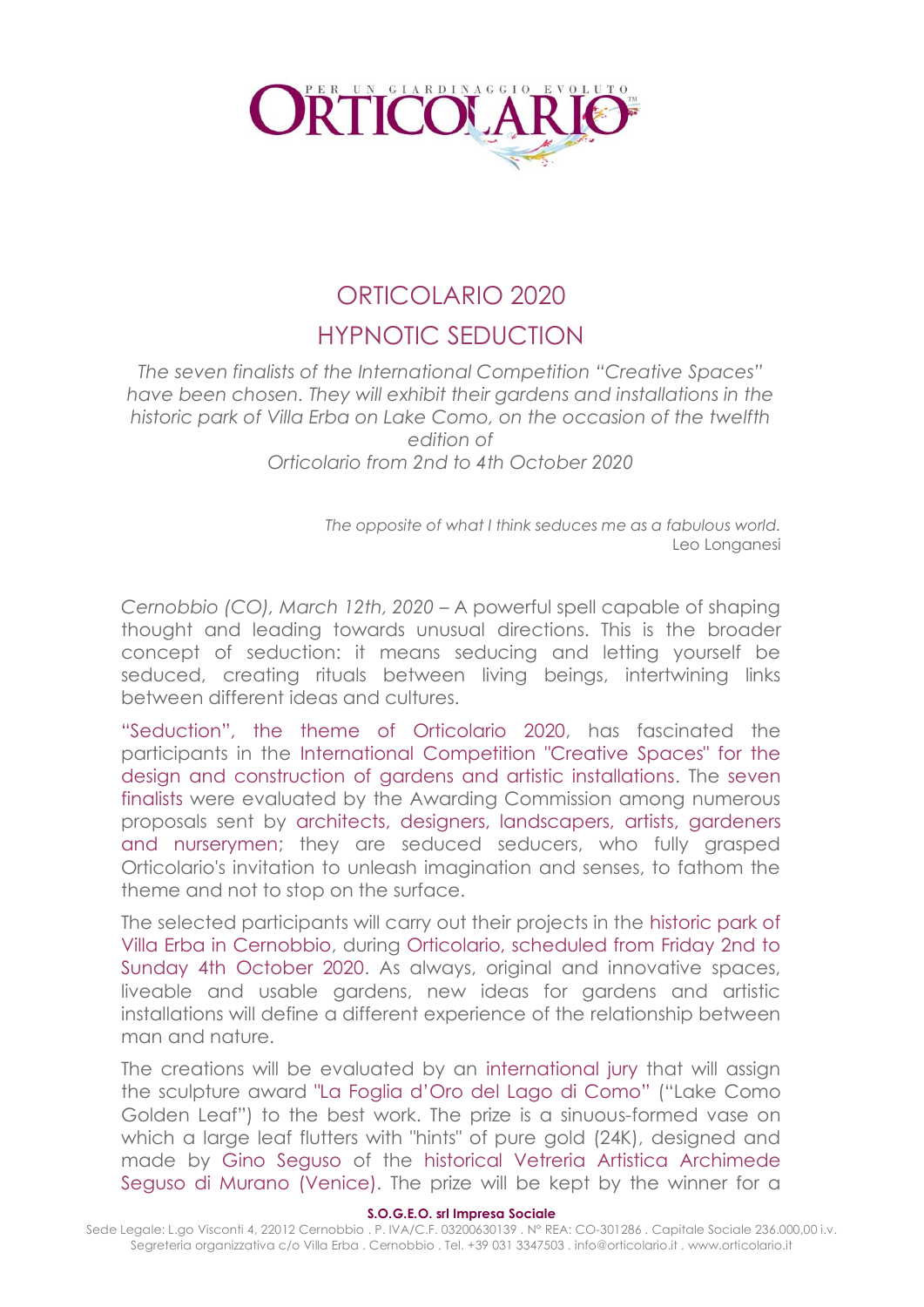

# ORTICOLARIO 2020 HYPNOTIC SEDUCTION

*The seven finalists of the International Competition "Creative Spaces" have been chosen. They will exhibit their gardens and installations in the historic park of Villa Erba on Lake Como, on the occasion of the twelfth edition of Orticolario from 2nd to 4th October 2020*

> *The opposite of what I think seduces me as a fabulous world.* Leo Longanesi

*Cernobbio (CO), March 12th, 2020* – A powerful spell capable of shaping thought and leading towards unusual directions. This is the broader concept of seduction: it means seducing and letting yourself be seduced, creating rituals between living beings, intertwining links between different ideas and cultures.

"Seduction", the theme of Orticolario 2020, has fascinated the participants in the International Competition "Creative Spaces" for the design and construction of gardens and artistic installations. The seven finalists were evaluated by the Awarding Commission among numerous proposals sent by architects, designers, landscapers, artists, gardeners and nurserymen; they are seduced seducers, who fully grasped Orticolario's invitation to unleash imagination and senses, to fathom the theme and not to stop on the surface.

The selected participants will carry out their projects in the historic park of Villa Erba in Cernobbio, during Orticolario, scheduled from Friday 2nd to Sunday 4th October 2020. As always, original and innovative spaces, liveable and usable gardens, new ideas for gardens and artistic installations will define a different experience of the relationship between man and nature.

The creations will be evaluated by an international jury that will assign the sculpture award "La Foglia d'Oro del Lago di Como" ("Lake Como Golden Leaf") to the best work. The prize is a sinuous-formed vase on which a large leaf flutters with "hints" of pure gold (24K), designed and made by Gino Seguso of the historical Vetreria Artistica Archimede Seguso di Murano (Venice). The prize will be kept by the winner for a

#### **S.O.G.E.O. srl Impresa Sociale**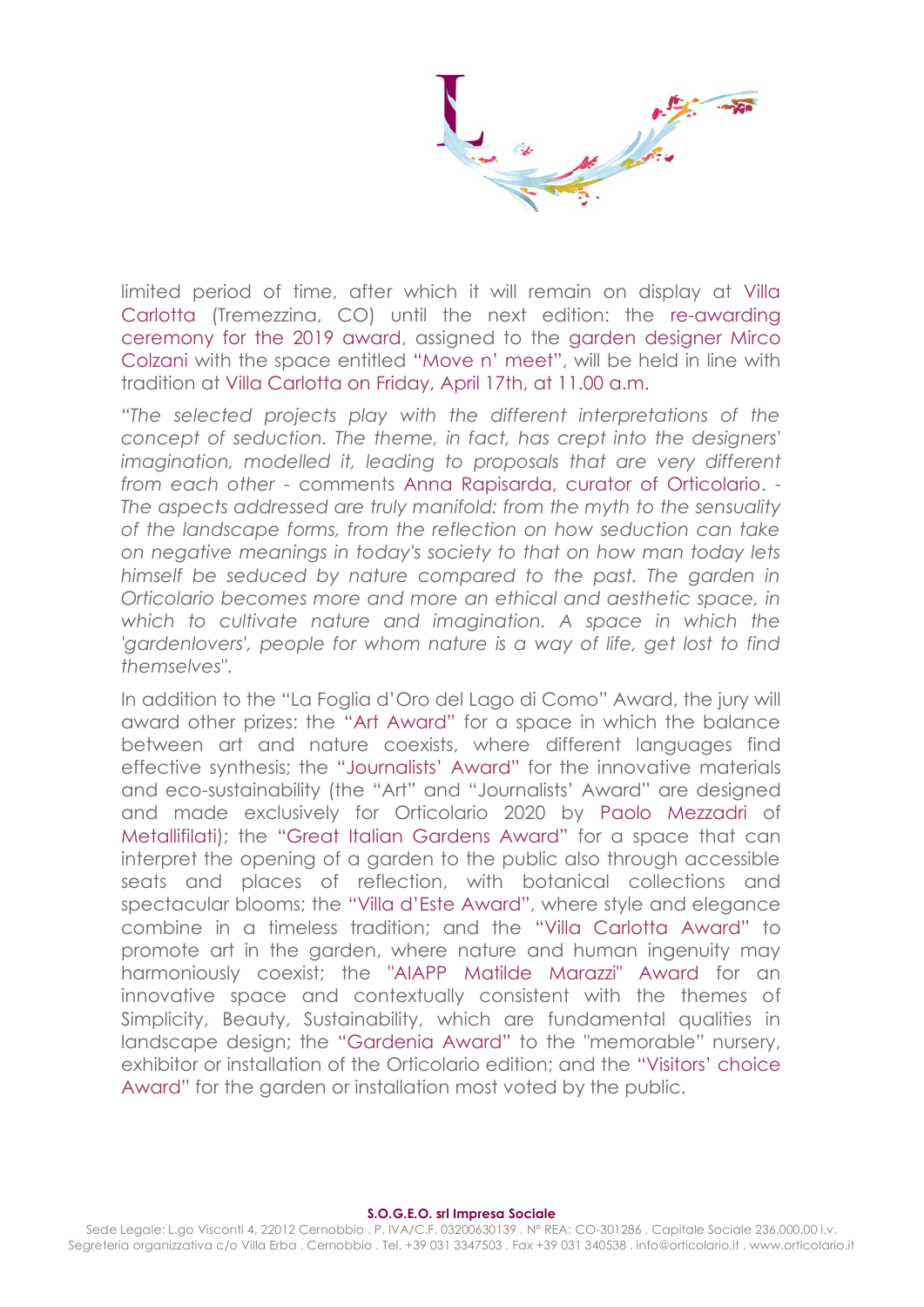limited period of time, after which it will remain on display at Villa Carlotta (Tremezzina, CO) until the next edition: the re-awarding ceremony for the 2019 award, assigned to the garden designer Mirco Colzani with the space entitled "Move n' meet", will be held in line with tradition at Villa Carlotta on Friday, April 17th, at 11.00 a.m.

*"The selected projects play with the different interpretations of the concept of seduction. The theme, in fact, has crept into the designers' imagination, modelled it, leading to proposals that are very different from each other* - comments Anna Rapisarda, curator of Orticolario. - *The aspects addressed are truly manifold: from the myth to the sensuality of the landscape forms, from the reflection on how seduction can take on negative meanings in today's society to that on how man today lets himself be seduced by nature compared to the past. The garden in Orticolario becomes more and more an ethical and aesthetic space, in*  which to cultivate nature and imagination. A space in which the 'gardenlovers', people for whom nature is a way of life, get lost to find *themselves"*.

In addition to the "La Foglia d'Oro del Lago di Como" Award, the jury will award other prizes: the "Art Award" for a space in which the balance between art and nature coexists, where different languages find effective synthesis; the "Journalists' Award" for the innovative materials and eco-sustainability (the "Art" and "Journalists' Award" are designed and made exclusively for Orticolario 2020 by Paolo Mezzadri of Metallifilati); the "Great Italian Gardens Award" for a space that can interpret the opening of a garden to the public also through accessible seats and places of reflection, with botanical collections and spectacular blooms; the "Villa d'Este Award", where style and elegance combine in a timeless tradition; and the "Villa Carlotta Award" to promote art in the garden, where nature and human ingenuity may harmoniously coexist; the "AIAPP Matilde Marazzi" Award for an innovative space and contextually consistent with the themes of Simplicity, Beauty, Sustainability, which are fundamental qualities in landscape design; the "Gardenia Award" to the "memorable" nursery, exhibitor or installation of the Orticolario edition; and the "Visitors' choice Award" for the garden or installation most voted by the public.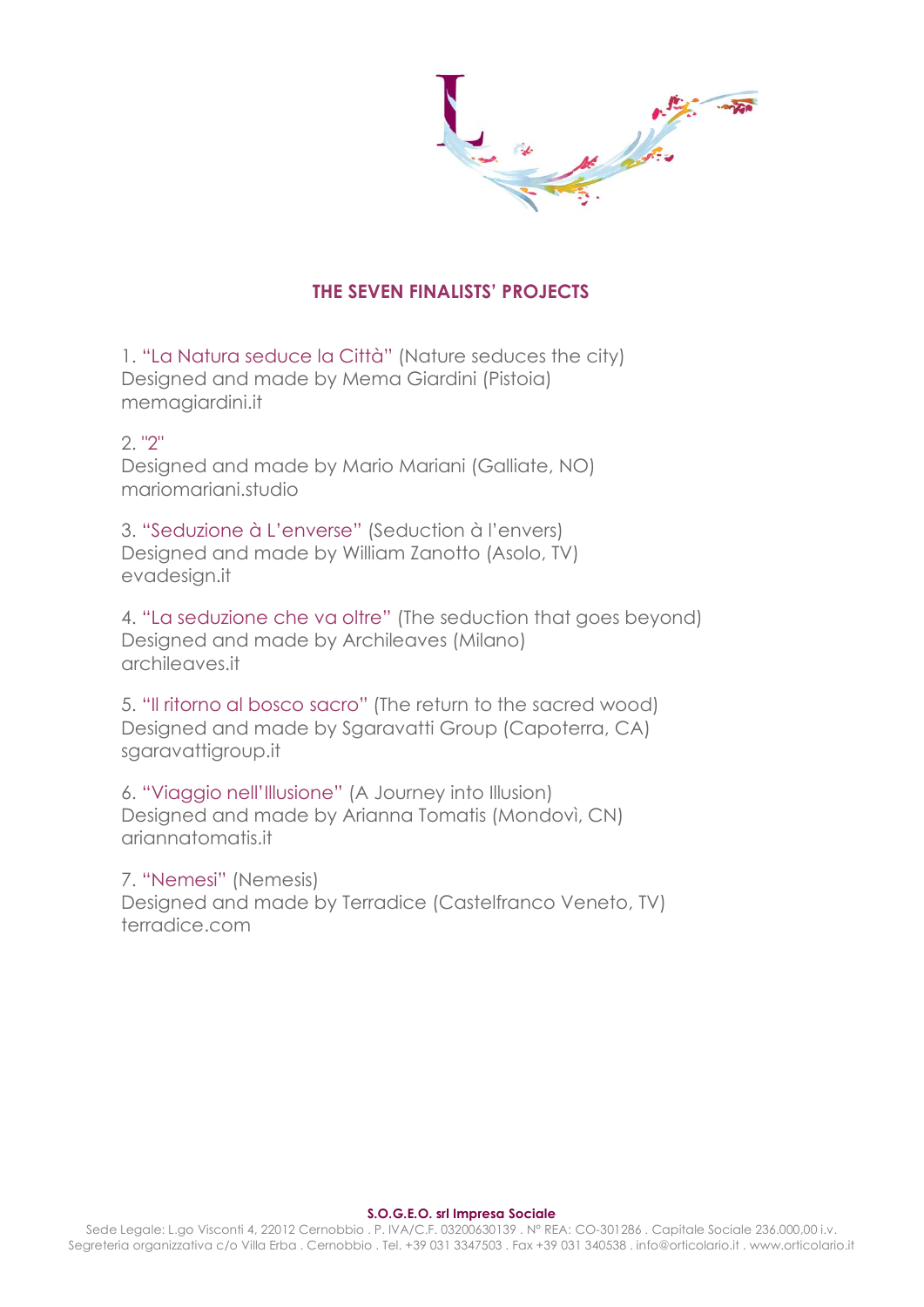$\frac{1}{2}$ 

# **THE SEVEN FINALISTS' PROJECTS**

1. "La Natura seduce la Città" (Nature seduces the city) Designed and made by Mema Giardini (Pistoia) memagiardini.it

# 2. "2"

Designed and made by Mario Mariani (Galliate, NO) mariomariani.studio

3. "Seduzione à L'enverse" (Seduction à l'envers) Designed and made by William Zanotto (Asolo, TV) evadesign.it

4. "La seduzione che va oltre" (The seduction that goes beyond) Designed and made by Archileaves (Milano) archileaves.it

5. "Il ritorno al bosco sacro" (The return to the sacred wood) Designed and made by Sgaravatti Group (Capoterra, CA) sgaravattigroup.it

6. "Viaggio nell'Illusione" (A Journey into Illusion) Designed and made by Arianna Tomatis (Mondovì, CN) ariannatomatis.it

7. "Nemesi" (Nemesis) Designed and made by Terradice (Castelfranco Veneto, TV) terradice.com

#### **S.O.G.E.O. srl Impresa Sociale**

Sede Legale: L.go Visconti 4, 22012 Cernobbio . P. IVA/C.F. 03200630139 . N° REA: CO-301286 . Capitale Sociale 236.000,00 i.v. Segreteria organizzativa c/o Villa Erba . Cernobbio . Tel. +39 031 3347503 . Fax +39 031 340538 . info@orticolario.it . www.orticolario.it